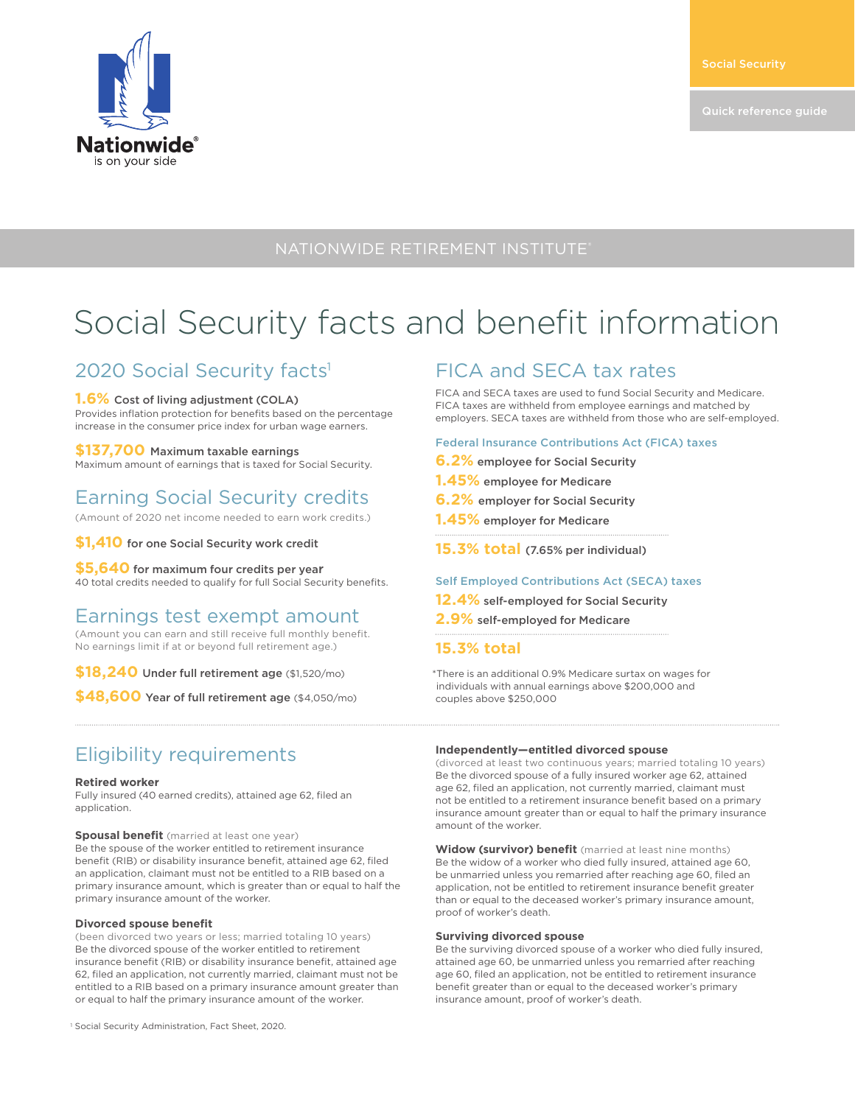

### NATIONWIDE RETIREMENT INSTITUTE®

# Social Security facts and benefit information

### 2020 Social Security facts<sup>1</sup>

#### **1.6%** Cost of living adjustment (COLA)

Provides inflation protection for benefits based on the percentage increase in the consumer price index for urban wage earners.

#### **\$137,700** Maximum taxable earnings

Maximum amount of earnings that is taxed for Social Security.

## Earning Social Security credits

(Amount of 2020 net income needed to earn work credits.)

**\$1,410** for one Social Security work credit

### **\$5,640** for maximum four credits per year

40 total credits needed to qualify for full Social Security benefits.

### Earnings test exempt amount

(Amount you can earn and still receive full monthly benefit. No earnings limit if at or beyond full retirement age.)

**\$18,240** Under full retirement age (\$1,520/mo)

**\$48,600** Year of full retirement age (\$4,050/mo)

### Eligibility requirements

#### **Retired worker**

Fully insured (40 earned credits), attained age 62, filed an application.

**Spousal benefit** (married at least one year) Be the spouse of the worker entitled to retirement insurance benefit (RIB) or disability insurance benefit, attained age 62, filed an application, claimant must not be entitled to a RIB based on a primary insurance amount, which is greater than or equal to half the primary insurance amount of the worker.

#### **Divorced spouse benefit**

(been divorced two years or less; married totaling 10 years) Be the divorced spouse of the worker entitled to retirement insurance benefit (RIB) or disability insurance benefit, attained age 62, filed an application, not currently married, claimant must not be entitled to a RIB based on a primary insurance amount greater than or equal to half the primary insurance amount of the worker.

## FICA and SECA tax rates

FICA and SECA taxes are used to fund Social Security and Medicare. FICA taxes are withheld from employee earnings and matched by employers. SECA taxes are withheld from those who are self-employed.

#### Federal Insurance Contributions Act (FICA) taxes

- **6.2%** employee for Social Security
- **1.45%** employee for Medicare
- **6.2%** employer for Social Security
- **1.45%** employer for Medicare
- **15.3% total** (7.65% per individual)

#### Self Employed Contributions Act (SECA) taxes

- **12.4%** self-employed for Social Security
- **2.9%** self-employed for Medicare
- **15.3% total**

\*There is an additional 0.9% Medicare surtax on wages for individuals with annual earnings above \$200,000 and couples above \$250,000

#### **Independently—entitled divorced spouse**

(divorced at least two continuous years; married totaling 10 years) Be the divorced spouse of a fully insured worker age 62, attained age 62, filed an application, not currently married, claimant must not be entitled to a retirement insurance benefit based on a primary insurance amount greater than or equal to half the primary insurance amount of the worker.

**Widow (survivor) benefit** (married at least nine months) Be the widow of a worker who died fully insured, attained age 60, be unmarried unless you remarried after reaching age 60, filed an application, not be entitled to retirement insurance benefit greater than or equal to the deceased worker's primary insurance amount, proof of worker's death.

#### **Surviving divorced spouse**

Be the surviving divorced spouse of a worker who died fully insured, attained age 60, be unmarried unless you remarried after reaching age 60, filed an application, not be entitled to retirement insurance benefit greater than or equal to the deceased worker's primary insurance amount, proof of worker's death.

<sup>1</sup> Social Security Administration, Fact Sheet, 2020.